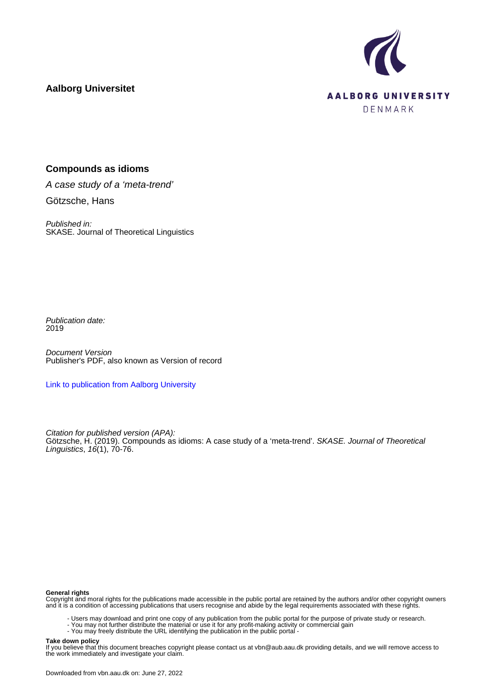

# **Aalborg Universitet**

## **Compounds as idioms**

A case study of a 'meta-trend' Götzsche, Hans

Published in: SKASE. Journal of Theoretical Linguistics

Publication date: 2019

Document Version Publisher's PDF, also known as Version of record

[Link to publication from Aalborg University](https://vbn.aau.dk/en/publications/6e4194c0-7e94-4e41-a5ce-a7841205fed0)

Citation for published version (APA): Götzsche, H. (2019). Compounds as idioms: A case study of a 'meta-trend'. SKASE. Journal of Theoretical Linguistics, 16(1), 70-76.

#### **General rights**

Copyright and moral rights for the publications made accessible in the public portal are retained by the authors and/or other copyright owners and it is a condition of accessing publications that users recognise and abide by the legal requirements associated with these rights.

- Users may download and print one copy of any publication from the public portal for the purpose of private study or research.
- You may not further distribute the material or use it for any profit-making activity or commercial gain
- You may freely distribute the URL identifying the publication in the public portal -

#### **Take down policy**

If you believe that this document breaches copyright please contact us at vbn@aub.aau.dk providing details, and we will remove access to the work immediately and investigate your claim.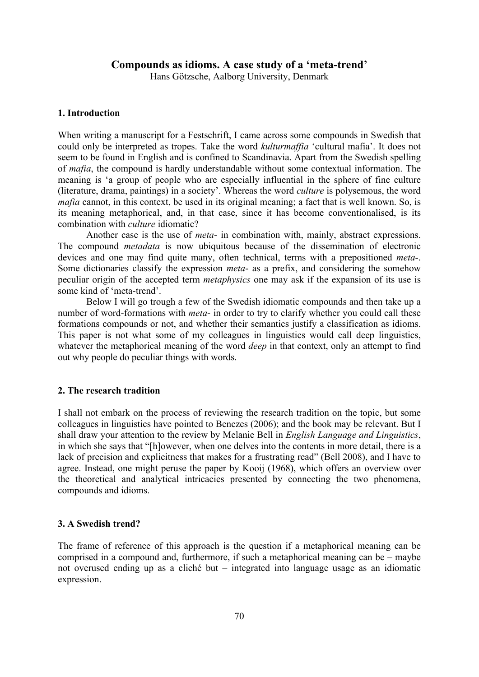### **Compounds as idioms. A case study of a 'meta-trend'**

Hans Götzsche, Aalborg University, Denmark

### **1. Introduction**

When writing a manuscript for a Festschrift, I came across some compounds in Swedish that could only be interpreted as tropes. Take the word *kulturmaffia* 'cultural mafia'. It does not seem to be found in English and is confined to Scandinavia. Apart from the Swedish spelling of *mafia*, the compound is hardly understandable without some contextual information. The meaning is 'a group of people who are especially influential in the sphere of fine culture (literature, drama, paintings) in a society'. Whereas the word *culture* is polysemous, the word *mafia* cannot, in this context, be used in its original meaning; a fact that is well known. So, is its meaning metaphorical, and, in that case, since it has become conventionalised, is its combination with *culture* idiomatic?

Another case is the use of *meta*- in combination with, mainly, abstract expressions. The compound *metadata* is now ubiquitous because of the dissemination of electronic devices and one may find quite many, often technical, terms with a prepositioned *meta*-. Some dictionaries classify the expression *meta*- as a prefix, and considering the somehow peculiar origin of the accepted term *metaphysics* one may ask if the expansion of its use is some kind of 'meta-trend'.

Below I will go trough a few of the Swedish idiomatic compounds and then take up a number of word-formations with *meta*- in order to try to clarify whether you could call these formations compounds or not, and whether their semantics justify a classification as idioms. This paper is not what some of my colleagues in linguistics would call deep linguistics, whatever the metaphorical meaning of the word *deep* in that context, only an attempt to find out why people do peculiar things with words.

#### **2. The research tradition**

I shall not embark on the process of reviewing the research tradition on the topic, but some colleagues in linguistics have pointed to Benczes (2006); and the book may be relevant. But I shall draw your attention to the review by Melanie Bell in *English Language and Linguistics*, in which she says that "[h]owever, when one delves into the contents in more detail, there is a lack of precision and explicitness that makes for a frustrating read" (Bell 2008), and I have to agree. Instead, one might peruse the paper by Kooij (1968), which offers an overview over the theoretical and analytical intricacies presented by connecting the two phenomena, compounds and idioms.

#### **3. A Swedish trend?**

The frame of reference of this approach is the question if a metaphorical meaning can be comprised in a compound and, furthermore, if such a metaphorical meaning can be – maybe not overused ending up as a cliché but – integrated into language usage as an idiomatic expression.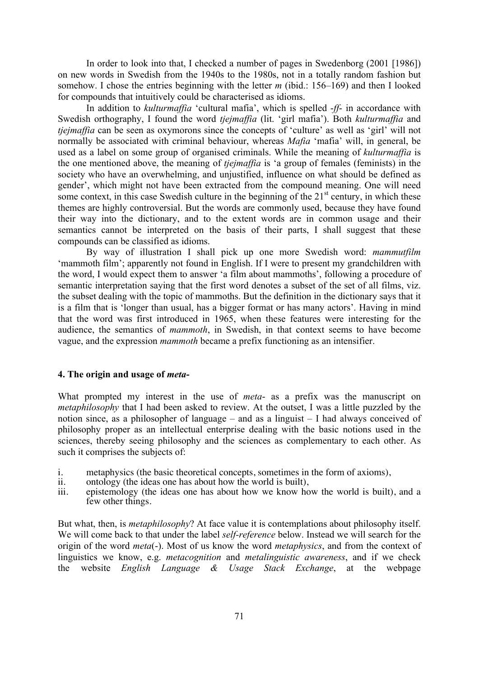In order to look into that, I checked a number of pages in Swedenborg (2001 [1986]) on new words in Swedish from the 1940s to the 1980s, not in a totally random fashion but somehow. I chose the entries beginning with the letter *m* (ibid.: 156–169) and then I looked for compounds that intuitively could be characterised as idioms.

In addition to *kulturmaffia* 'cultural mafia', which is spelled -*ff*- in accordance with Swedish orthography, I found the word *tjejmaffia* (lit. 'girl mafia'). Both *kulturmaffia* and *tjejmaffia* can be seen as oxymorons since the concepts of 'culture' as well as 'girl' will not normally be associated with criminal behaviour, whereas *Mafia* 'mafia' will, in general, be used as a label on some group of organised criminals. While the meaning of *kulturmaffia* is the one mentioned above, the meaning of *tjejmaffia* is 'a group of females (feminists) in the society who have an overwhelming, and unjustified, influence on what should be defined as gender', which might not have been extracted from the compound meaning. One will need some context, in this case Swedish culture in the beginning of the  $21<sup>st</sup>$  century, in which these themes are highly controversial. But the words are commonly used, because they have found their way into the dictionary, and to the extent words are in common usage and their semantics cannot be interpreted on the basis of their parts, I shall suggest that these compounds can be classified as idioms.

By way of illustration I shall pick up one more Swedish word: *mammutfilm* 'mammoth film'; apparently not found in English. If I were to present my grandchildren with the word, I would expect them to answer 'a film about mammoths', following a procedure of semantic interpretation saying that the first word denotes a subset of the set of all films, viz. the subset dealing with the topic of mammoths. But the definition in the dictionary says that it is a film that is 'longer than usual, has a bigger format or has many actors'. Having in mind that the word was first introduced in 1965, when these features were interesting for the audience, the semantics of *mammoth*, in Swedish, in that context seems to have become vague, and the expression *mammoth* became a prefix functioning as an intensifier.

#### **4. The origin and usage of** *meta***-**

What prompted my interest in the use of *meta*- as a prefix was the manuscript on *metaphilosophy* that I had been asked to review. At the outset, I was a little puzzled by the notion since, as a philosopher of language – and as a linguist – I had always conceived of philosophy proper as an intellectual enterprise dealing with the basic notions used in the sciences, thereby seeing philosophy and the sciences as complementary to each other. As such it comprises the subjects of:

- i. metaphysics (the basic theoretical concepts, sometimes in the form of axioms), ii. ontology (the ideas one has about how the world is built).
- ontology (the ideas one has about how the world is built),
- iii. epistemology (the ideas one has about how we know how the world is built), and a few other things.

But what, then, is *metaphilosophy*? At face value it is contemplations about philosophy itself. We will come back to that under the label *self-reference* below. Instead we will search for the origin of the word *meta*(-). Most of us know the word *metaphysics*, and from the context of linguistics we know, e.g. *metacognition* and *metalinguistic awareness*, and if we check the- website *English Language & Usage Stack Exchange*, at the webpage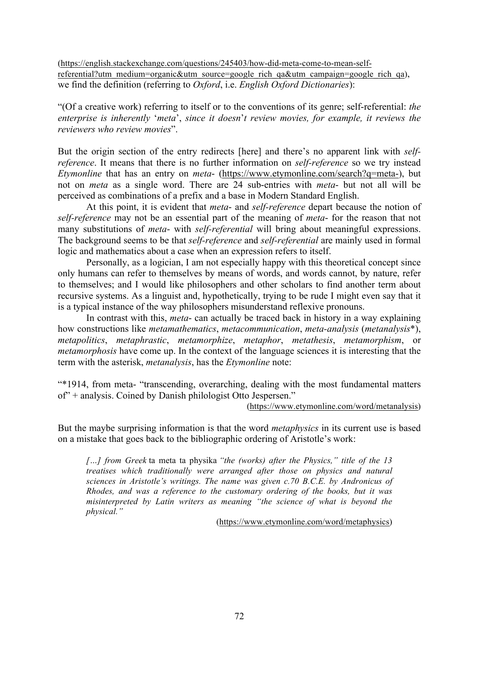(https://english.stackexchange.com/questions/245403/how-did-meta-come-to-mean-selfreferential?utm\_medium=organic&utm\_source=google\_rich\_qa&utm\_campaign=google\_rich\_qa), we find the definition (referring to *Oxford*, i.e. *English Oxford Dictionaries*):

"(Of a creative work) referring to itself or to the conventions of its genre; self-referential: *the enterprise is inherently* '*meta*', *since it doesn*'*t review movies, for example, it reviews the reviewers who review movies*".

But the origin section of the entry redirects [here] and there's no apparent link with *selfreference*. It means that there is no further information on *self-reference* so we try instead *Etymonline* that has an entry on *meta*- (https://www.etymonline.com/search?q=meta-), but not on *meta* as a single word. There are 24 sub-entries with *meta*- but not all will be perceived as combinations of a prefix and a base in Modern Standard English.

At this point, it is evident that *meta*- and *self-reference* depart because the notion of *self-reference* may not be an essential part of the meaning of *meta*- for the reason that not many substitutions of *meta*- with *self-referential* will bring about meaningful expressions. The background seems to be that *self-reference* and *self-referential* are mainly used in formal logic and mathematics about a case when an expression refers to itself.

Personally, as a logician, I am not especially happy with this theoretical concept since only humans can refer to themselves by means of words, and words cannot, by nature, refer to themselves; and I would like philosophers and other scholars to find another term about recursive systems. As a linguist and, hypothetically, trying to be rude I might even say that it is a typical instance of the way philosophers misunderstand reflexive pronouns.

In contrast with this, *meta*- can actually be traced back in history in a way explaining how constructions like *metamathematics*, *metacommunication*, *meta-analysis* (*metanalysis*\*), *metapolitics*, *metaphrastic*, *metamorphize*, *metaphor*, *metathesis*, *metamorphism*, or *metamorphosis* have come up. In the context of the language sciences it is interesting that the term with the asterisk, *metanalysis*, has the *Etymonline* note:

"\*1914, from meta- "transcending, overarching, dealing with the most fundamental matters of" + analysis. Coined by Danish philologist Otto Jespersen."

(https://www.etymonline.com/word/metanalysis)

But the maybe surprising information is that the word *metaphysics* in its current use is based on a mistake that goes back to the bibliographic ordering of Aristotle's work:

*[…] from Greek* ta meta ta physika *"the (works) after the Physics," title of the 13 treatises which traditionally were arranged after those on physics and natural sciences in Aristotle's writings. The name was given c.70 B.C.E. by Andronicus of Rhodes, and was a reference to the customary ordering of the books, but it was misinterpreted by Latin writers as meaning "the science of what is beyond the physical."*

(https://www.etymonline.com/word/metaphysics)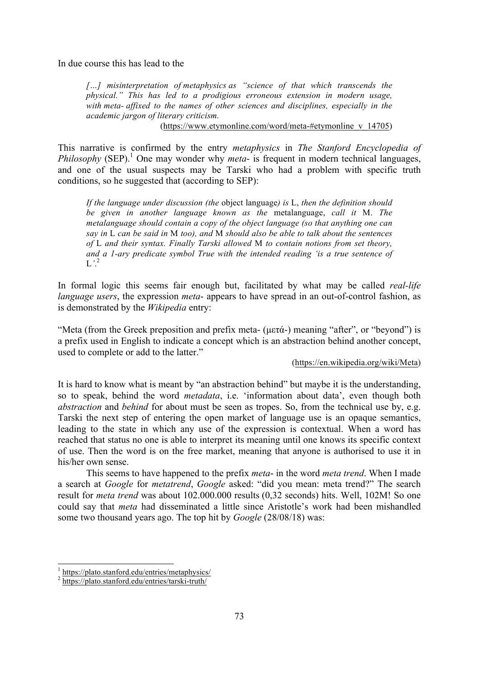In due course this has lead to the

*[…] misinterpretation of metaphysics as "science of that which transcends the physical." This has led to a prodigious erroneous extension in modern usage, with meta- affixed to the names of other sciences and disciplines, especially in the academic jargon of literary criticism.*

(https://www.etymonline.com/word/meta-#etymonline\_v\_14705)

This narrative is confirmed by the entry *metaphysics* in *The Stanford Encyclopedia of*  Philosophy (SEP).<sup>1</sup> One may wonder why *meta*- is frequent in modern technical languages, and one of the usual suspects may be Tarski who had a problem with specific truth conditions, so he suggested that (according to SEP):

*If the language under discussion (the* object language*) is* L, *then the definition should be given in another language known as the* metalanguage, *call it* M. *The metalanguage should contain a copy of the object language (so that anything one can say in* L *can be said in* M *too), and* M *should also be able to talk about the sentences of* L *and their syntax. Finally Tarski allowed* M *to contain notions from set theory, and a 1-ary predicate symbol True with the intended reading 'is a true sentence of*  L*'*. 2

In formal logic this seems fair enough but, facilitated by what may be called *real-life language users*, the expression *meta*- appears to have spread in an out-of-control fashion, as is demonstrated by the *Wikipedia* entry:

"Meta (from the Greek preposition and prefix meta- (µετά-) meaning "after", or "beyond") is a prefix used in English to indicate a concept which is an abstraction behind another concept, used to complete or add to the latter."

### (https://en.wikipedia.org/wiki/Meta)

It is hard to know what is meant by "an abstraction behind" but maybe it is the understanding, so to speak, behind the word *metadata*, i.e. 'information about data', even though both *abstraction* and *behind* for about must be seen as tropes. So, from the technical use by, e.g. Tarski the next step of entering the open market of language use is an opaque semantics, leading to the state in which any use of the expression is contextual. When a word has reached that status no one is able to interpret its meaning until one knows its specific context of use. Then the word is on the free market, meaning that anyone is authorised to use it in his/her own sense.

This seems to have happened to the prefix *meta*- in the word *meta trend*. When I made a search at *Google* for *metatrend*, *Google* asked: "did you mean: meta trend?" The search result for *meta trend* was about 102.000.000 results (0,32 seconds) hits. Well, 102M! So one could say that *meta* had disseminated a little since Aristotle's work had been mishandled some two thousand years ago. The top hit by *Google* (28/08/18) was:

<sup>1</sup> https://plato.stanford.edu/entries/metaphysics/

<sup>2</sup> https://plato.stanford.edu/entries/tarski-truth/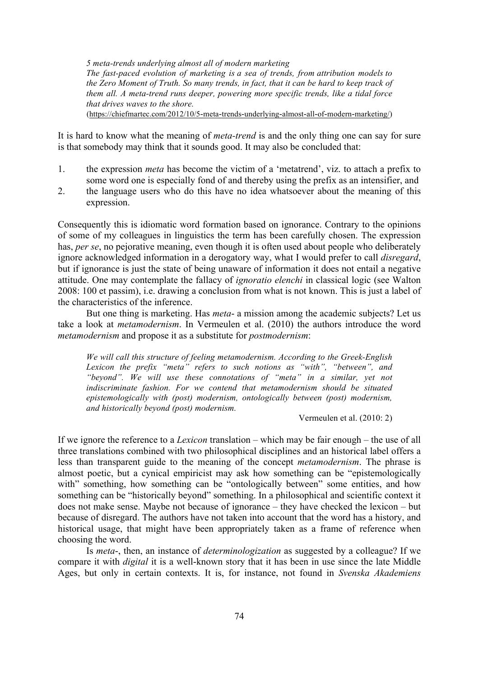*5 meta-trends underlying almost all of modern marketing The fast-paced evolution of marketing is a sea of trends, from attribution models to the Zero Moment of Truth. So many trends, in fact, that it can be hard to keep track of them all. A meta-trend runs deeper, powering more specific trends, like a tidal force that drives waves to the shore.*

(https://chiefmartec.com/2012/10/5-meta-trends-underlying-almost-all-of-modern-marketing/)

It is hard to know what the meaning of *meta-trend* is and the only thing one can say for sure is that somebody may think that it sounds good. It may also be concluded that:

- 1. the expression *meta* has become the victim of a 'metatrend', viz. to attach a prefix to some word one is especially fond of and thereby using the prefix as an intensifier, and
- 2. the language users who do this have no idea whatsoever about the meaning of this expression.

Consequently this is idiomatic word formation based on ignorance. Contrary to the opinions of some of my colleagues in linguistics the term has been carefully chosen. The expression has, *per se*, no pejorative meaning, even though it is often used about people who deliberately ignore acknowledged information in a derogatory way, what I would prefer to call *disregard*, but if ignorance is just the state of being unaware of information it does not entail a negative attitude. One may contemplate the fallacy of *ignoratio elenchi* in classical logic (see Walton 2008: 100 et passim), i.e. drawing a conclusion from what is not known. This is just a label of the characteristics of the inference.

But one thing is marketing. Has *meta*- a mission among the academic subjects? Let us take a look at *metamodernism*. In Vermeulen et al. (2010) the authors introduce the word *metamodernism* and propose it as a substitute for *postmodernism*:

*We will call this structure of feeling metamodernism. According to the Greek-English Lexicon the prefix "meta" refers to such notions as "with", "between", and "beyond". We will use these connotations of "meta" in a similar, yet not indiscriminate fashion. For we contend that metamodernism should be situated epistemologically with (post) modernism, ontologically between (post) modernism, and historically beyond (post) modernism.*

Vermeulen et al. (2010: 2)

If we ignore the reference to a *Lexicon* translation – which may be fair enough – the use of all three translations combined with two philosophical disciplines and an historical label offers a less than transparent guide to the meaning of the concept *metamodernism*. The phrase is almost poetic, but a cynical empiricist may ask how something can be "epistemologically with" something, how something can be "ontologically between" some entities, and how something can be "historically beyond" something. In a philosophical and scientific context it does not make sense. Maybe not because of ignorance – they have checked the lexicon – but because of disregard. The authors have not taken into account that the word has a history, and historical usage, that might have been appropriately taken as a frame of reference when choosing the word.

Is *meta*-, then, an instance of *determinologization* as suggested by a colleague? If we compare it with *digital* it is a well-known story that it has been in use since the late Middle Ages, but only in certain contexts. It is, for instance, not found in *Svenska Akademiens*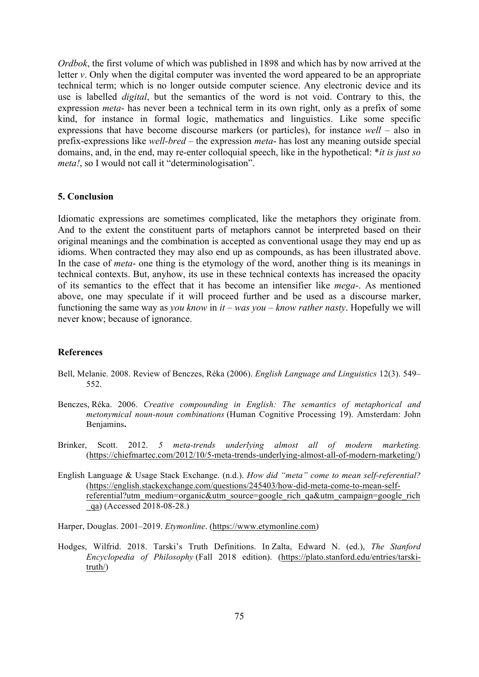*Ordbok*, the first volume of which was published in 1898 and which has by now arrived at the letter *v*. Only when the digital computer was invented the word appeared to be an appropriate technical term; which is no longer outside computer science. Any electronic device and its use is labelled *digital*, but the semantics of the word is not void. Contrary to this, the expression *meta*- has never been a technical term in its own right, only as a prefix of some kind, for instance in formal logic, mathematics and linguistics. Like some specific expressions that have become discourse markers (or particles), for instance *well* – also in prefix-expressions like *well-bred* – the expression *meta*- has lost any meaning outside special domains, and, in the end, may re-enter colloquial speech, like in the hypothetical: \**it is just so meta!*, so I would not call it "determinologisation".

#### **5. Conclusion**

Idiomatic expressions are sometimes complicated, like the metaphors they originate from. And to the extent the constituent parts of metaphors cannot be interpreted based on their original meanings and the combination is accepted as conventional usage they may end up as idioms. When contracted they may also end up as compounds, as has been illustrated above. In the case of *meta*- one thing is the etymology of the word, another thing is its meanings in technical contexts. But, anyhow, its use in these technical contexts has increased the opacity of its semantics to the effect that it has become an intensifier like *mega*-. As mentioned above, one may speculate if it will proceed further and be used as a discourse marker, functioning the same way as *you know* in *it – was you – know rather nasty*. Hopefully we will never know; because of ignorance.

#### **References**

- Bell, Melanie. 2008. Review of Benczes, Réka (2006). *English Language and Linguistics* 12(3). 549– 552.
- Benczes, Réka. 2006. *Creative compounding in English: The semantics of metaphorical and metonymical noun-noun combinations* (Human Cognitive Processing 19). Amsterdam: John Benjamins**.**
- Brinker, Scott. 2012. *5 meta-trends underlying almost all of modern marketing.*  (https://chiefmartec.com/2012/10/5-meta-trends-underlying-almost-all-of-modern-marketing/)
- English Language & Usage Stack Exchange. (n.d.). *How did "meta" come to mean self-referential?* (https://english.stackexchange.com/questions/245403/how-did-meta-come-to-mean-selfreferential?utm\_medium=organic&utm\_source=google\_rich\_qa&utm\_campaign=google\_rich \_qa) (Accessed 2018-08-28.)

Harper, Douglas. 2001–2019. *Etymonline*. (https://www.etymonline.com)

Hodges, Wilfrid. 2018. Tarski's Truth Definitions. In Zalta, Edward N. (ed.), *The Stanford Encyclopedia of Philosophy* (Fall 2018 edition). (https://plato.stanford.edu/entries/tarskitruth/)